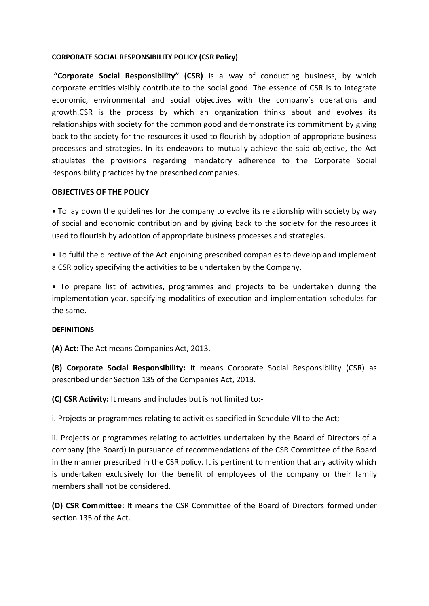#### **CORPORATE SOCIAL RESPONSIBILITY POLICY (CSR Policy)**

**"Corporate Social Responsibility" (CSR)** is a way of conducting business, by which corporate entities visibly contribute to the social good. The essence of CSR is to integrate economic, environmental and social objectives with the company's operations and growth.CSR is the process by which an organization thinks about and evolves its relationships with society for the common good and demonstrate its commitment by giving back to the society for the resources it used to flourish by adoption of appropriate business processes and strategies. In its endeavors to mutually achieve the said objective, the Act stipulates the provisions regarding mandatory adherence to the Corporate Social Responsibility practices by the prescribed companies.

### **OBJECTIVES OF THE POLICY**

• To lay down the guidelines for the company to evolve its relationship with society by way of social and economic contribution and by giving back to the society for the resources it used to flourish by adoption of appropriate business processes and strategies.

• To fulfil the directive of the Act enjoining prescribed companies to develop and implement a CSR policy specifying the activities to be undertaken by the Company.

• To prepare list of activities, programmes and projects to be undertaken during the implementation year, specifying modalities of execution and implementation schedules for the same.

### **DEFINITIONS**

**(A) Act:** The Act means Companies Act, 2013.

**(B) Corporate Social Responsibility:** It means Corporate Social Responsibility (CSR) as prescribed under Section 135 of the Companies Act, 2013.

**(C) CSR Activity:** It means and includes but is not limited to:-

i. Projects or programmes relating to activities specified in Schedule VII to the Act;

ii. Projects or programmes relating to activities undertaken by the Board of Directors of a company (the Board) in pursuance of recommendations of the CSR Committee of the Board in the manner prescribed in the CSR policy. It is pertinent to mention that any activity which is undertaken exclusively for the benefit of employees of the company or their family members shall not be considered.

**(D) CSR Committee:** It means the CSR Committee of the Board of Directors formed under section 135 of the Act.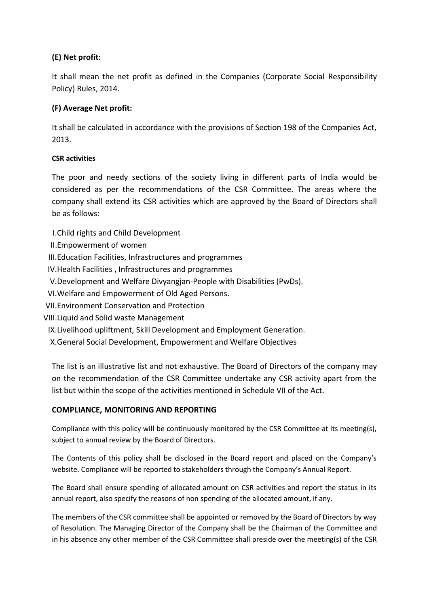# **(E) Net profit:**

It shall mean the net profit as defined in the Companies (Corporate Social Responsibility Policy) Rules, 2014.

# **(F) Average Net profit:**

It shall be calculated in accordance with the provisions of Section 198 of the Companies Act, 2013.

## **CSR activities**

The poor and needy sections of the society living in different parts of India would be considered as per the recommendations of the CSR Committee. The areas where the company shall extend its CSR activities which are approved by the Board of Directors shall be as follows:

I.Child rights and Child Development

II.Empowerment of women

III.Education Facilities, Infrastructures and programmes

IV.Health Facilities , Infrastructures and programmes

V.Development and Welfare Divyangjan-People with Disabilities (PwDs).

VI.Welfare and Empowerment of Old Aged Persons.

- VII.Environment Conservation and Protection
- VIII.Liquid and Solid waste Management
	- IX.Livelihood upliftment, Skill Development and Employment Generation.

X.General Social Development, Empowerment and Welfare Objectives

The list is an illustrative list and not exhaustive. The Board of Directors of the company may on the recommendation of the CSR Committee undertake any CSR activity apart from the list but within the scope of the activities mentioned in Schedule VII of the Act.

### **COMPLIANCE, MONITORING AND REPORTING**

Compliance with this policy will be continuously monitored by the CSR Committee at its meeting(s), subject to annual review by the Board of Directors.

The Contents of this policy shall be disclosed in the Board report and placed on the Company's website. Compliance will be reported to stakeholders through the Company's Annual Report.

The Board shall ensure spending of allocated amount on CSR activities and report the status in its annual report, also specify the reasons of non spending of the allocated amount, if any.

The members of the CSR committee shall be appointed or removed by the Board of Directors by way of Resolution. The Managing Director of the Company shall be the Chairman of the Committee and in his absence any other member of the CSR Committee shall preside over the meeting(s) of the CSR